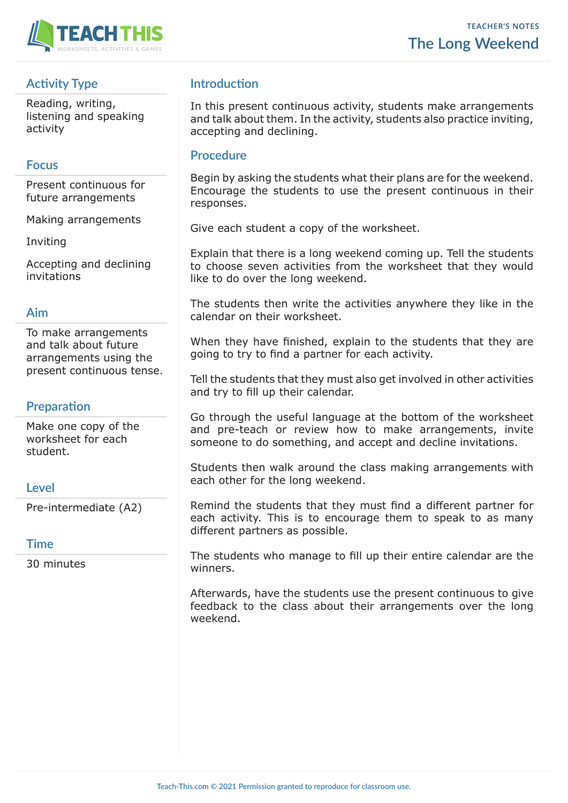

# **Activity Type**

Reading, writing, listening and speaking activity

## **Focus**

Present continuous for future arrangements

Making arrangements

Inviting

Accepting and declining invitations

#### **Aim**

To make arrangements and talk about future arrangements using the present continuous tense.

## **Preparation**

Make one copy of the worksheet for each student.

## **Level**

Pre-intermediate (A2)

## **Time**

30 minutes

# **Introduction**

In this present continuous activity, students make arrangements and talk about them. In the activity, students also practice inviting, accepting and declining.

#### **Procedure**

Begin by asking the students what their plans are for the weekend. Encourage the students to use the present continuous in their responses.

Give each student a copy of the worksheet.

Explain that there is a long weekend coming up. Tell the students to choose seven activities from the worksheet that they would like to do over the long weekend.

The students then write the activities anywhere they like in the calendar on their worksheet.

When they have finished, explain to the students that they are going to try to find a partner for each activity.

Tell the students that they must also get involved in other activities and try to fill up their calendar.

Go through the useful language at the bottom of the worksheet and pre-teach or review how to make arrangements, invite someone to do something, and accept and decline invitations.

Students then walk around the class making arrangements with each other for the long weekend.

Remind the students that they must find a different partner for each activity. This is to encourage them to speak to as many different partners as possible.

The students who manage to fill up their entire calendar are the winners.

Afterwards, have the students use the present continuous to give feedback to the class about their arrangements over the long weekend.